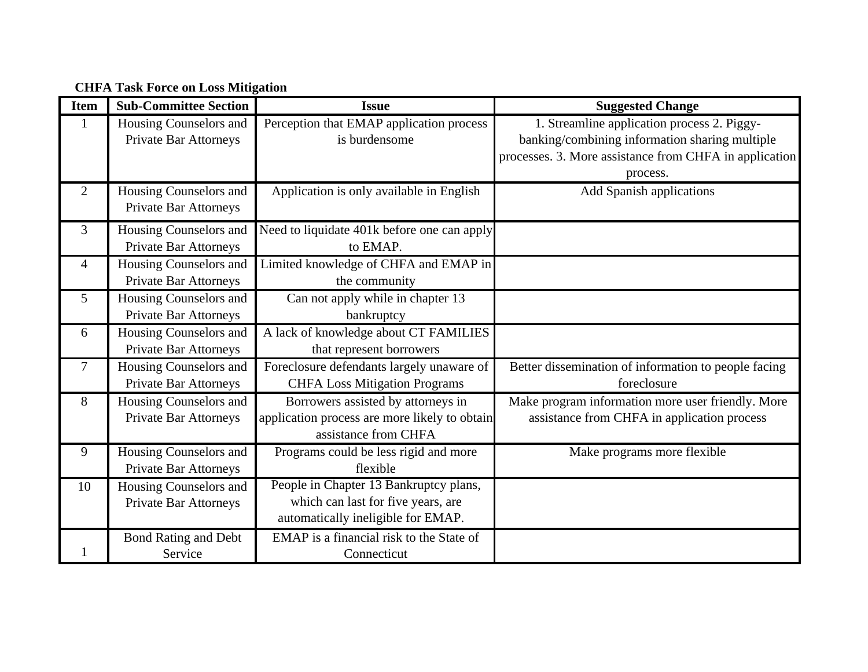**CHFA Task Force on Loss Mitigation** 

| <b>Item</b>    | <b>Sub-Committee Section</b> | <b>Issue</b>                                  | <b>Suggested Change</b>                                |
|----------------|------------------------------|-----------------------------------------------|--------------------------------------------------------|
|                | Housing Counselors and       | Perception that EMAP application process      | 1. Streamline application process 2. Piggy-            |
|                | Private Bar Attorneys        | is burdensome                                 | banking/combining information sharing multiple         |
|                |                              |                                               | processes. 3. More assistance from CHFA in application |
|                |                              |                                               | process.                                               |
| $\overline{2}$ | Housing Counselors and       | Application is only available in English      | Add Spanish applications                               |
|                | <b>Private Bar Attorneys</b> |                                               |                                                        |
| 3              | Housing Counselors and       | Need to liquidate 401k before one can apply   |                                                        |
|                | <b>Private Bar Attorneys</b> | to EMAP.                                      |                                                        |
| $\overline{4}$ | Housing Counselors and       | Limited knowledge of CHFA and EMAP in         |                                                        |
|                | <b>Private Bar Attorneys</b> | the community                                 |                                                        |
| 5              | Housing Counselors and       | Can not apply while in chapter 13             |                                                        |
|                | <b>Private Bar Attorneys</b> | bankruptcy                                    |                                                        |
| 6              | Housing Counselors and       | A lack of knowledge about CT FAMILIES         |                                                        |
|                | <b>Private Bar Attorneys</b> | that represent borrowers                      |                                                        |
| $\tau$         | Housing Counselors and       | Foreclosure defendants largely unaware of     | Better dissemination of information to people facing   |
|                | <b>Private Bar Attorneys</b> | <b>CHFA Loss Mitigation Programs</b>          | foreclosure                                            |
| 8              | Housing Counselors and       | Borrowers assisted by attorneys in            | Make program information more user friendly. More      |
|                | Private Bar Attorneys        | application process are more likely to obtain | assistance from CHFA in application process            |
|                |                              | assistance from CHFA                          |                                                        |
| 9              | Housing Counselors and       | Programs could be less rigid and more         | Make programs more flexible                            |
|                | <b>Private Bar Attorneys</b> | flexible                                      |                                                        |
| 10             | Housing Counselors and       | People in Chapter 13 Bankruptcy plans,        |                                                        |
|                | <b>Private Bar Attorneys</b> | which can last for five years, are            |                                                        |
|                |                              | automatically ineligible for EMAP.            |                                                        |
|                | <b>Bond Rating and Debt</b>  | EMAP is a financial risk to the State of      |                                                        |
|                | Service                      | Connecticut                                   |                                                        |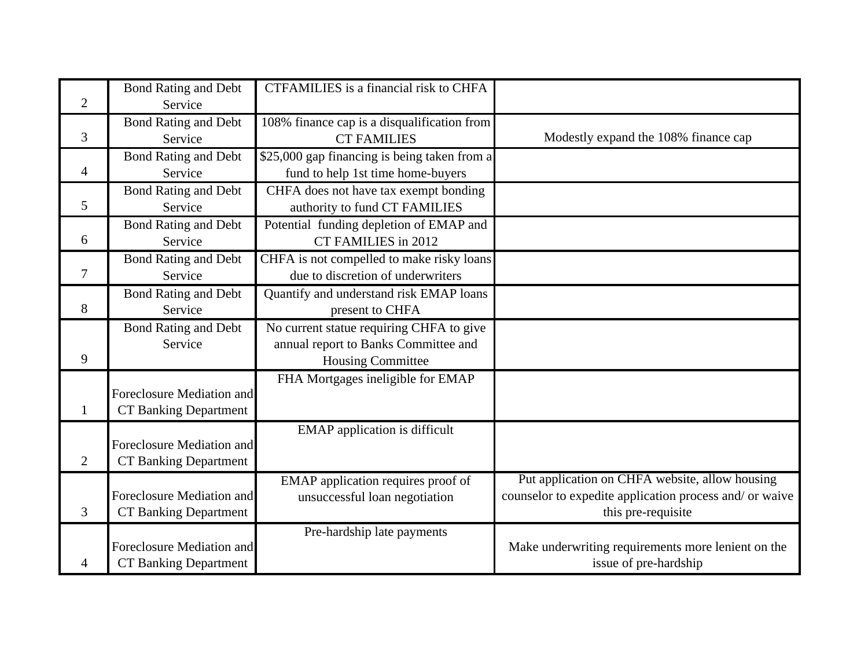| $\overline{2}$ | <b>Bond Rating and Debt</b><br>Service                    | <b>CTFAMILIES</b> is a financial risk to CHFA                                                                |                                                                                                                                 |
|----------------|-----------------------------------------------------------|--------------------------------------------------------------------------------------------------------------|---------------------------------------------------------------------------------------------------------------------------------|
| 3              | <b>Bond Rating and Debt</b><br>Service                    | 108% finance cap is a disqualification from<br><b>CT FAMILIES</b>                                            | Modestly expand the 108% finance cap                                                                                            |
| 4              | <b>Bond Rating and Debt</b><br>Service                    | \$25,000 gap financing is being taken from a<br>fund to help 1st time home-buyers                            |                                                                                                                                 |
| 5              | <b>Bond Rating and Debt</b><br>Service                    | CHFA does not have tax exempt bonding<br>authority to fund CT FAMILIES                                       |                                                                                                                                 |
| 6              | <b>Bond Rating and Debt</b><br>Service                    | Potential funding depletion of EMAP and<br><b>CT FAMILIES in 2012</b>                                        |                                                                                                                                 |
| $\overline{7}$ | <b>Bond Rating and Debt</b><br>Service                    | CHFA is not compelled to make risky loans<br>due to discretion of underwriters                               |                                                                                                                                 |
| 8              | <b>Bond Rating and Debt</b><br>Service                    | Quantify and understand risk EMAP loans<br>present to CHFA                                                   |                                                                                                                                 |
| 9              | <b>Bond Rating and Debt</b><br>Service                    | No current statue requiring CHFA to give<br>annual report to Banks Committee and<br><b>Housing Committee</b> |                                                                                                                                 |
| 1              | Foreclosure Mediation and<br><b>CT Banking Department</b> | FHA Mortgages ineligible for EMAP                                                                            |                                                                                                                                 |
| $\overline{2}$ | Foreclosure Mediation and<br><b>CT Banking Department</b> | <b>EMAP</b> application is difficult                                                                         |                                                                                                                                 |
| 3              | Foreclosure Mediation and<br><b>CT Banking Department</b> | EMAP application requires proof of<br>unsuccessful loan negotiation                                          | Put application on CHFA website, allow housing<br>counselor to expedite application process and/ or waive<br>this pre-requisite |
| 4              | Foreclosure Mediation and<br><b>CT Banking Department</b> | Pre-hardship late payments                                                                                   | Make underwriting requirements more lenient on the<br>issue of pre-hardship                                                     |